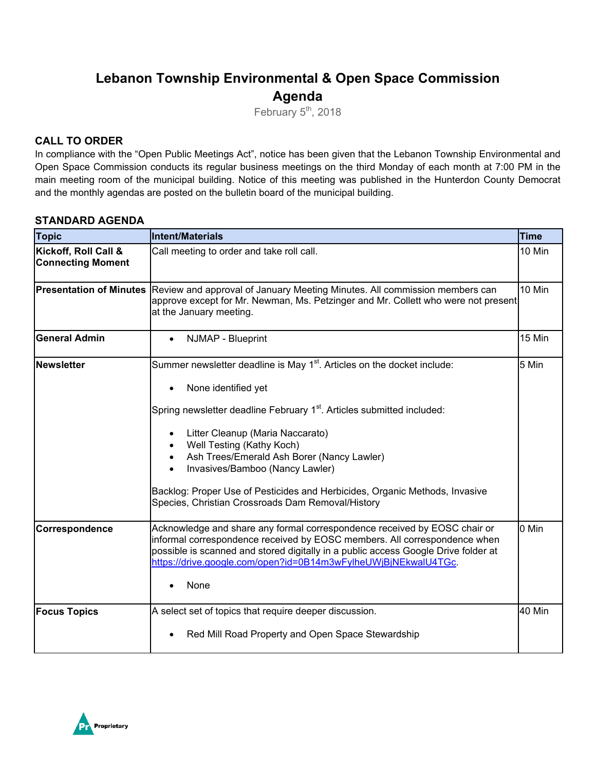# **Lebanon Township Environmental & Open Space Commission Agenda**

February  $5<sup>th</sup>$ , 2018

#### **CALL TO ORDER**

In compliance with the "Open Public Meetings Act", notice has been given that the Lebanon Township Environmental and Open Space Commission conducts its regular business meetings on the third Monday of each month at 7:00 PM in the main meeting room of the municipal building. Notice of this meeting was published in the Hunterdon County Democrat and the monthly agendas are posted on the bulletin board of the municipal building.

#### **STANDARD AGENDA**

| <b>Topic</b>                                     | Intent/Materials                                                                                                                                                                                                                                                                                                                                                                                   | <b>Time</b> |
|--------------------------------------------------|----------------------------------------------------------------------------------------------------------------------------------------------------------------------------------------------------------------------------------------------------------------------------------------------------------------------------------------------------------------------------------------------------|-------------|
| Kickoff, Roll Call &<br><b>Connecting Moment</b> | Call meeting to order and take roll call.                                                                                                                                                                                                                                                                                                                                                          | 10 Min      |
| <b>Presentation of Minutes</b>                   | Review and approval of January Meeting Minutes. All commission members can<br>approve except for Mr. Newman, Ms. Petzinger and Mr. Collett who were not present<br>at the January meeting.                                                                                                                                                                                                         | 10 Min      |
| <b>General Admin</b>                             | NJMAP - Blueprint<br>$\bullet$                                                                                                                                                                                                                                                                                                                                                                     | 15 Min      |
| <b>Newsletter</b>                                | Summer newsletter deadline is May 1 <sup>st</sup> . Articles on the docket include:<br>None identified yet                                                                                                                                                                                                                                                                                         | 5 Min       |
|                                                  | Spring newsletter deadline February 1 <sup>st</sup> . Articles submitted included:<br>Litter Cleanup (Maria Naccarato)<br>Well Testing (Kathy Koch)<br>Ash Trees/Emerald Ash Borer (Nancy Lawler)<br>$\bullet$<br>Invasives/Bamboo (Nancy Lawler)<br>$\bullet$<br>Backlog: Proper Use of Pesticides and Herbicides, Organic Methods, Invasive<br>Species, Christian Crossroads Dam Removal/History |             |
| Correspondence                                   | Acknowledge and share any formal correspondence received by EOSC chair or<br>informal correspondence received by EOSC members. All correspondence when<br>possible is scanned and stored digitally in a public access Google Drive folder at<br>https://drive.google.com/open?id=0B14m3wFylheUWjBjNEkwalU4TGc.<br>None                                                                             | 0 Min       |
| <b>Focus Topics</b>                              | A select set of topics that require deeper discussion.<br>Red Mill Road Property and Open Space Stewardship                                                                                                                                                                                                                                                                                        | 40 Min      |

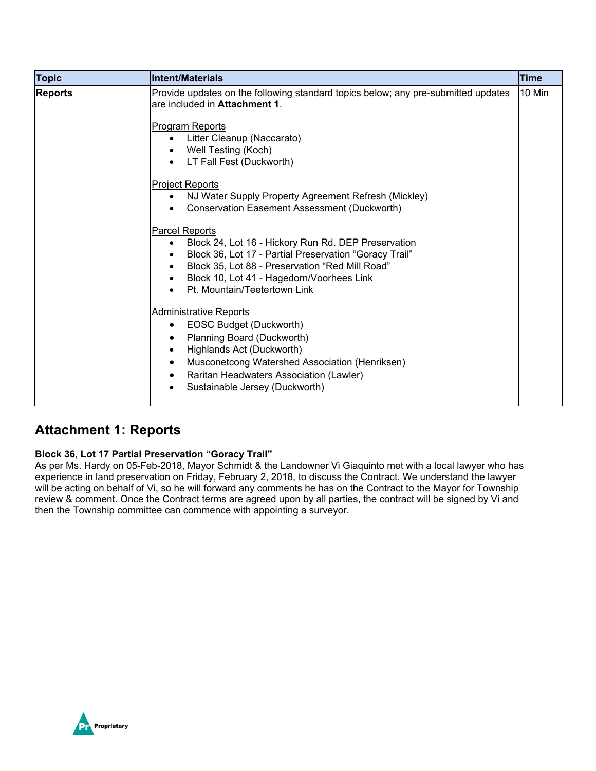| <b>Topic</b>   | <b>Intent/Materials</b>                                                                                                                                                                                                                                                                                                                                                                                                                                                                       | <b>Time</b> |
|----------------|-----------------------------------------------------------------------------------------------------------------------------------------------------------------------------------------------------------------------------------------------------------------------------------------------------------------------------------------------------------------------------------------------------------------------------------------------------------------------------------------------|-------------|
| <b>Reports</b> | Provide updates on the following standard topics below; any pre-submitted updates<br>are included in <b>Attachment 1.</b><br><b>Program Reports</b><br>Litter Cleanup (Naccarato)<br>Well Testing (Koch)<br>LT Fall Fest (Duckworth)<br>$\bullet$<br><b>Project Reports</b><br>NJ Water Supply Property Agreement Refresh (Mickley)<br>$\bullet$<br>Conservation Easement Assessment (Duckworth)<br><b>Parcel Reports</b><br>Block 24, Lot 16 - Hickory Run Rd. DEP Preservation<br>$\bullet$ | 10 Min      |
|                | Block 36, Lot 17 - Partial Preservation "Goracy Trail"<br>Block 35, Lot 88 - Preservation "Red Mill Road"<br>Block 10, Lot 41 - Hagedorn/Voorhees Link<br>Pt. Mountain/Teetertown Link<br><b>Administrative Reports</b><br>EOSC Budget (Duckworth)<br>$\bullet$<br>Planning Board (Duckworth)<br>Highlands Act (Duckworth)<br>$\bullet$<br>Musconetcong Watershed Association (Henriksen)<br>$\bullet$<br>Raritan Headwaters Association (Lawler)<br>Sustainable Jersey (Duckworth)           |             |

### **Attachment 1: Reports**

#### **Block 36, Lot 17 Partial Preservation "Goracy Trail"**

As per Ms. Hardy on 05-Feb-2018, Mayor Schmidt & the Landowner Vi Giaquinto met with a local lawyer who has experience in land preservation on Friday, February 2, 2018, to discuss the Contract. We understand the lawyer will be acting on behalf of Vi, so he will forward any comments he has on the Contract to the Mayor for Township review & comment. Once the Contract terms are agreed upon by all parties, the contract will be signed by Vi and then the Township committee can commence with appointing a surveyor.

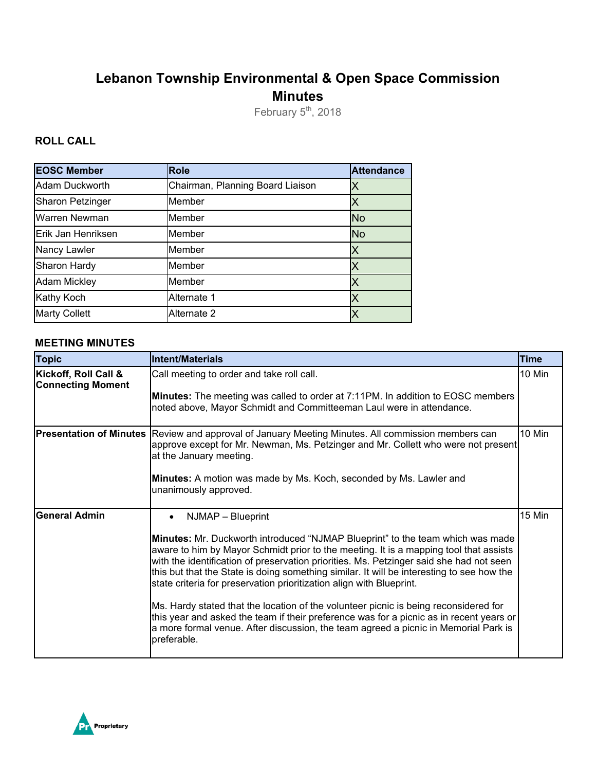# **Lebanon Township Environmental & Open Space Commission Minutes**

February 5<sup>th</sup>, 2018

### **ROLL CALL**

| <b>EOSC Member</b>      | <b>Role</b>                      | <b>Attendance</b> |
|-------------------------|----------------------------------|-------------------|
| Adam Duckworth          | Chairman, Planning Board Liaison | Χ                 |
| <b>Sharon Petzinger</b> | Member                           |                   |
| Warren Newman           | Member                           | <b>No</b>         |
| Erik Jan Henriksen      | Member                           | <b>No</b>         |
| Nancy Lawler            | Member                           | X                 |
| Sharon Hardy            | Member                           | ΙX                |
| <b>Adam Mickley</b>     | Member                           | Х                 |
| Kathy Koch              | Alternate 1                      | X                 |
| <b>Marty Collett</b>    | Alternate 2                      | Х                 |

#### **MEETING MINUTES**

| <b>Topic</b>                                     | <b>Intent/Materials</b>                                                                                                                                                                                                                                                                                                                                                                                                                                                                                                                                                                                                                                                                                                                               | <b>Time</b> |
|--------------------------------------------------|-------------------------------------------------------------------------------------------------------------------------------------------------------------------------------------------------------------------------------------------------------------------------------------------------------------------------------------------------------------------------------------------------------------------------------------------------------------------------------------------------------------------------------------------------------------------------------------------------------------------------------------------------------------------------------------------------------------------------------------------------------|-------------|
| Kickoff, Roll Call &<br><b>Connecting Moment</b> | Call meeting to order and take roll call.<br><b>Minutes:</b> The meeting was called to order at 7:11PM. In addition to EOSC members<br>noted above, Mayor Schmidt and Committeeman Laul were in attendance.                                                                                                                                                                                                                                                                                                                                                                                                                                                                                                                                           | 10 Min      |
| <b>Presentation of Minutes</b>                   | Review and approval of January Meeting Minutes. All commission members can<br>approve except for Mr. Newman, Ms. Petzinger and Mr. Collett who were not present<br>at the January meeting.<br>Minutes: A motion was made by Ms. Koch, seconded by Ms. Lawler and<br>unanimously approved.                                                                                                                                                                                                                                                                                                                                                                                                                                                             | 10 Min      |
| <b>General Admin</b>                             | NJMAP - Blueprint<br>Minutes: Mr. Duckworth introduced "NJMAP Blueprint" to the team which was made<br>aware to him by Mayor Schmidt prior to the meeting. It is a mapping tool that assists<br>with the identification of preservation priorities. Ms. Petzinger said she had not seen<br>this but that the State is doing something similar. It will be interesting to see how the<br>state criteria for preservation prioritization align with Blueprint.<br>Ms. Hardy stated that the location of the volunteer picnic is being reconsidered for<br>this year and asked the team if their preference was for a picnic as in recent years or<br>a more formal venue. After discussion, the team agreed a picnic in Memorial Park is<br>preferable. | 15 Min      |

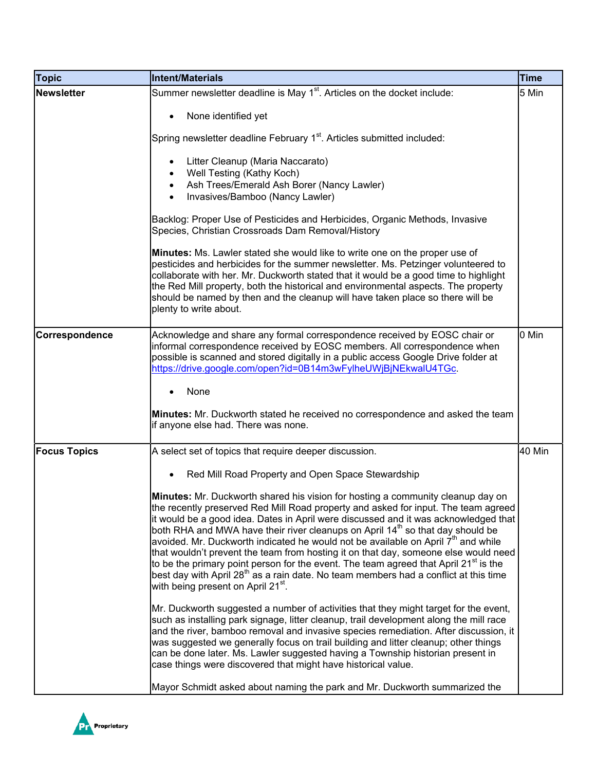| <b>Topic</b>        | Intent/Materials                                                                                                                                                                                                                                                                                                                                                                                                                                                                                                                                                                                                                                                                                                                                                                                    | <b>Time</b> |
|---------------------|-----------------------------------------------------------------------------------------------------------------------------------------------------------------------------------------------------------------------------------------------------------------------------------------------------------------------------------------------------------------------------------------------------------------------------------------------------------------------------------------------------------------------------------------------------------------------------------------------------------------------------------------------------------------------------------------------------------------------------------------------------------------------------------------------------|-------------|
| <b>Newsletter</b>   | Summer newsletter deadline is May 1 <sup>st</sup> . Articles on the docket include:                                                                                                                                                                                                                                                                                                                                                                                                                                                                                                                                                                                                                                                                                                                 | 5 Min       |
|                     | None identified yet                                                                                                                                                                                                                                                                                                                                                                                                                                                                                                                                                                                                                                                                                                                                                                                 |             |
|                     | Spring newsletter deadline February 1 <sup>st</sup> . Articles submitted included:                                                                                                                                                                                                                                                                                                                                                                                                                                                                                                                                                                                                                                                                                                                  |             |
|                     | Litter Cleanup (Maria Naccarato)<br>Well Testing (Kathy Koch)                                                                                                                                                                                                                                                                                                                                                                                                                                                                                                                                                                                                                                                                                                                                       |             |
|                     | Ash Trees/Emerald Ash Borer (Nancy Lawler)<br>$\bullet$<br>Invasives/Bamboo (Nancy Lawler)<br>$\bullet$                                                                                                                                                                                                                                                                                                                                                                                                                                                                                                                                                                                                                                                                                             |             |
|                     | Backlog: Proper Use of Pesticides and Herbicides, Organic Methods, Invasive<br>Species, Christian Crossroads Dam Removal/History                                                                                                                                                                                                                                                                                                                                                                                                                                                                                                                                                                                                                                                                    |             |
|                     | Minutes: Ms. Lawler stated she would like to write one on the proper use of<br>pesticides and herbicides for the summer newsletter. Ms. Petzinger volunteered to<br>collaborate with her. Mr. Duckworth stated that it would be a good time to highlight<br>the Red Mill property, both the historical and environmental aspects. The property<br>should be named by then and the cleanup will have taken place so there will be<br>plenty to write about.                                                                                                                                                                                                                                                                                                                                          |             |
| Correspondence      | Acknowledge and share any formal correspondence received by EOSC chair or<br>informal correspondence received by EOSC members. All correspondence when<br>possible is scanned and stored digitally in a public access Google Drive folder at<br>https://drive.google.com/open?id=0B14m3wFylheUWjBjNEkwalU4TGc.                                                                                                                                                                                                                                                                                                                                                                                                                                                                                      | 0 Min       |
|                     | None                                                                                                                                                                                                                                                                                                                                                                                                                                                                                                                                                                                                                                                                                                                                                                                                |             |
|                     | Minutes: Mr. Duckworth stated he received no correspondence and asked the team<br>if anyone else had. There was none.                                                                                                                                                                                                                                                                                                                                                                                                                                                                                                                                                                                                                                                                               |             |
| <b>Focus Topics</b> | A select set of topics that require deeper discussion.                                                                                                                                                                                                                                                                                                                                                                                                                                                                                                                                                                                                                                                                                                                                              | 40 Min      |
|                     | Red Mill Road Property and Open Space Stewardship                                                                                                                                                                                                                                                                                                                                                                                                                                                                                                                                                                                                                                                                                                                                                   |             |
|                     | Minutes: Mr. Duckworth shared his vision for hosting a community cleanup day on<br>the recently preserved Red Mill Road property and asked for input. The team agreed<br>it would be a good idea. Dates in April were discussed and it was acknowledged that<br>both RHA and MWA have their river cleanups on April 14 <sup>th</sup> so that day should be<br>avoided. Mr. Duckworth indicated he would not be available on April $7th$ and while<br>that wouldn't prevent the team from hosting it on that day, someone else would need<br>to be the primary point person for the event. The team agreed that April 21 $^{\text{st}}$ is the<br>best day with April 28 <sup>th</sup> as a rain date. No team members had a conflict at this time<br>with being present on April 21 <sup>st</sup> . |             |
|                     | Mr. Duckworth suggested a number of activities that they might target for the event,<br>such as installing park signage, litter cleanup, trail development along the mill race<br>and the river, bamboo removal and invasive species remediation. After discussion, it<br>was suggested we generally focus on trail building and litter cleanup; other things<br>can be done later. Ms. Lawler suggested having a Township historian present in<br>case things were discovered that might have historical value.                                                                                                                                                                                                                                                                                    |             |
|                     | Mayor Schmidt asked about naming the park and Mr. Duckworth summarized the                                                                                                                                                                                                                                                                                                                                                                                                                                                                                                                                                                                                                                                                                                                          |             |